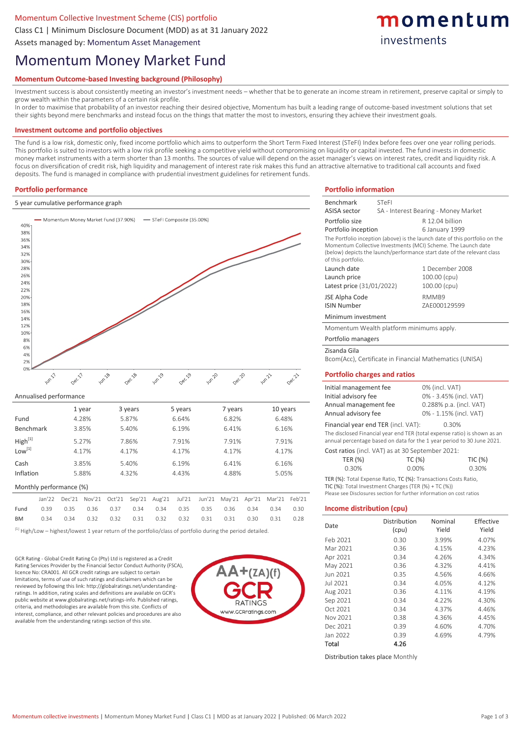### Momentum Collective Investment Scheme (CIS) portfolio

Class C1 | Minimum Disclosure Document (MDD) as at 31 January 2022

Assets managed by: Momentum Asset Management

# Momentum Money Market Fund

# **Momentum Outcome-based Investing background (Philosophy)**

Investment success is about consistently meeting an investor's investment needs – whether that be to generate an income stream in retirement, preserve capital or simply to grow wealth within the parameters of a certain risk profile.

In order to maximise that probability of an investor reaching their desired objective, Momentum has built a leading range of outcome-based investment solutions that set their sights beyond mere benchmarks and instead focus on the things that matter the most to investors, ensuring they achieve their investment goals.

#### **Investment outcome and portfolio objectives**

The fund is a low risk, domestic only, fixed income portfolio which aims to outperform the Short Term Fixed Interest (STeFI) Index before fees over one year rolling periods. This portfolio is suited to investors with a low risk profile seeking a competitive yield without compromising on liquidity or capital invested. The fund invests in domestic money market instruments with a term shorter than 13 months. The sources of value will depend on the asset manager's views on interest rates, credit and liquidity risk. A focus on diversification of credit risk, high liquidity and management of interest rate risk makes this fund an attractive alternative to traditional call accounts and fixed deposits. The fund is managed in compliance with prudential investment guidelines for retirement funds.

#### **Portfolio performance**

#### 5 year cumulative performance graph



#### Annualised performance

|                         |                | 1 year |        |        | 3 years        | 5 years |        |        | 7 years | 10 years |        |        |
|-------------------------|----------------|--------|--------|--------|----------------|---------|--------|--------|---------|----------|--------|--------|
| Fund                    | 4.28%          |        |        |        | 5.87%<br>6.64% |         |        |        | 6.82%   |          | 6.48%  |        |
| <b>Benchmark</b>        | 3.85%<br>5.40% |        |        |        | 6.19%          |         |        | 6.41%  |         | 6.16%    |        |        |
| High <sup>[1]</sup>     | 5.27%          |        |        | 7.86%  | 7.91%          |         |        | 7.91%  |         | 7.91%    |        |        |
| $Low^{[1]}$             |                |        | 4.17%  |        | 4.17%          |         | 4.17%  |        | 4.17%   | 4.17%    |        |        |
| Cash                    |                | 3.85%  |        | 5.40%  |                | 6.19%   |        |        | 6.41%   |          | 6.16%  |        |
| Inflation               |                | 5.88%  |        | 4.32%  |                | 4.43%   |        | 4.88%  |         |          | 5.05%  |        |
| Monthly performance (%) |                |        |        |        |                |         |        |        |         |          |        |        |
|                         | Jan'22         | Dec'21 | Nov'21 | Oct'21 | Sep'21         | Aug'21  | Jul'21 | Jun'21 | May'21  | Apr'21   | Mar'21 | Feb'21 |
| Fund                    | 0.39           | 0.35   | 0.36   | 0.37   | 0.34           | 0.34    | 0.35   | 0.35   | 0.36    | 0.34     | 0.34   | 0.30   |
|                         |                |        |        |        |                |         |        |        |         |          |        |        |

BM 0.34 0.34 0.32 0.32 0.31 0.32 0.32 0.31 0.31 0.30 0.31 0.28

 $^{[1]}$  High/Low – highest/lowest 1 year return of the portfolio/class of portfolio during the period detailed.

GCR Rating - Global Credit Rating Co (Pty) Ltd is registered as a Credit Rating Services Provider by the Financial Sector Conduct Authority (FSCA), licence No: CRA001. All GCR credit ratings are subject to certain limitations, terms of use of such ratings and disclaimers which can be reviewed by following this link: http://globalratings.net/understandingratings. In addition, rating scales and definitions are available on GCR's public website at www.globalratings.net/ratings-info. Published ratings, criteria, and methodologies are available from this site. Conflicts of interest, compliance, and other relevant policies and procedures are also available from the understanding ratings section of this site.



#### **Portfolio information** Benchmark STeFI

| <b>ASISA sector</b>                           | SA - Interest Bearing - Money Market                                                                                                                                                                                    |                         |           |  |  |  |
|-----------------------------------------------|-------------------------------------------------------------------------------------------------------------------------------------------------------------------------------------------------------------------------|-------------------------|-----------|--|--|--|
| Portfolio size                                |                                                                                                                                                                                                                         | R 12.04 billion         |           |  |  |  |
| Portfolio inception                           |                                                                                                                                                                                                                         | 6 January 1999          |           |  |  |  |
| of this portfolio.                            | The Portfolio inception (above) is the launch date of this portfolio on the<br>Momentum Collective Investments (MCI) Scheme. The Launch date<br>(below) depicts the launch/performance start date of the relevant class |                         |           |  |  |  |
| Launch date                                   |                                                                                                                                                                                                                         | 1 December 2008         |           |  |  |  |
| Launch price                                  |                                                                                                                                                                                                                         | 100.00 (cpu)            |           |  |  |  |
| Latest price (31/01/2022)                     |                                                                                                                                                                                                                         | 100.00 (cpu)            |           |  |  |  |
| JSE Alpha Code<br><b>ISIN Number</b>          |                                                                                                                                                                                                                         | RMMB9<br>ZAE000129599   |           |  |  |  |
| Minimum investment                            |                                                                                                                                                                                                                         |                         |           |  |  |  |
|                                               | Momentum Wealth platform minimums apply.                                                                                                                                                                                |                         |           |  |  |  |
| Portfolio managers                            |                                                                                                                                                                                                                         |                         |           |  |  |  |
| Zisanda Gila                                  |                                                                                                                                                                                                                         |                         |           |  |  |  |
|                                               | Bcom(Acc), Certificate in Financial Mathematics (UNISA)                                                                                                                                                                 |                         |           |  |  |  |
|                                               | <b>Portfolio charges and ratios</b>                                                                                                                                                                                     |                         |           |  |  |  |
| Initial management fee                        |                                                                                                                                                                                                                         | 0% (incl. VAT)          |           |  |  |  |
| Initial advisory fee                          |                                                                                                                                                                                                                         | 0% - 3.45% (incl. VAT)  |           |  |  |  |
| Annual management fee                         |                                                                                                                                                                                                                         | 0.288% p.a. (incl. VAT) |           |  |  |  |
| Annual advisory fee<br>0% - 1.15% (incl. VAT) |                                                                                                                                                                                                                         |                         |           |  |  |  |
|                                               | Financial year end TER (incl. VAT):                                                                                                                                                                                     | 0.30%                   |           |  |  |  |
|                                               | The disclosed Financial year end TER (total expense ratio) is shown as an                                                                                                                                               |                         |           |  |  |  |
|                                               | annual percentage based on data for the 1 year period to 30 June 2021.                                                                                                                                                  |                         |           |  |  |  |
|                                               | Cost ratios (incl. VAT) as at 30 September 2021:                                                                                                                                                                        |                         |           |  |  |  |
| TER (%)                                       | TC (%)                                                                                                                                                                                                                  |                         | TIC (%)   |  |  |  |
| 0.30%                                         | 0.00%                                                                                                                                                                                                                   | 0.30%                   |           |  |  |  |
|                                               | TER (%): Total Expense Ratio, TC (%): Transactions Costs Ratio,<br>TIC (%): Total Investment Charges (TER (%) + TC (%))<br>Please see Disclosures section for further information on cost ratios                        |                         |           |  |  |  |
| <b>Income distribution (cpu)</b>              |                                                                                                                                                                                                                         |                         |           |  |  |  |
| Date                                          | Distribution                                                                                                                                                                                                            | Nominal                 | Effective |  |  |  |
|                                               | (cpu)                                                                                                                                                                                                                   | Yield                   | Yield     |  |  |  |
| Feb 2021                                      | 0.30                                                                                                                                                                                                                    | 3.99%                   | 4.07%     |  |  |  |
| Mar 2021                                      | 0.36                                                                                                                                                                                                                    | 4.15%                   | 4.23%     |  |  |  |
| Apr 2021                                      | 0.34                                                                                                                                                                                                                    | 4.26%                   | 4.34%     |  |  |  |
| May 2021                                      | 0.36                                                                                                                                                                                                                    | 4.32%                   | 4.41%     |  |  |  |
| Jun 2021                                      | 0.35                                                                                                                                                                                                                    | 4.56%                   | 4.66%     |  |  |  |
| Jul 2021                                      | 0.34                                                                                                                                                                                                                    | 4.05%                   | 4.12%     |  |  |  |
| Aug 2021                                      | 0.36                                                                                                                                                                                                                    | 4.11%                   | 4.19%     |  |  |  |
| Sep 2021                                      | 0.34                                                                                                                                                                                                                    | 4.22%                   | 4.30%     |  |  |  |
| Oct 2021                                      | 0.34                                                                                                                                                                                                                    | 4.37%                   | 4.46%     |  |  |  |
| Nov 2021                                      | 0.38                                                                                                                                                                                                                    | 4.36%                   | 4.45%     |  |  |  |
| Dec 2021                                      | 0.39                                                                                                                                                                                                                    | 4.60%                   | 4.70%     |  |  |  |
| Jan 2022                                      | 0.39                                                                                                                                                                                                                    | 4.69%                   | 4.79%     |  |  |  |
| Total                                         | 4.26                                                                                                                                                                                                                    |                         |           |  |  |  |

momentum

investments

Distribution takes place Monthly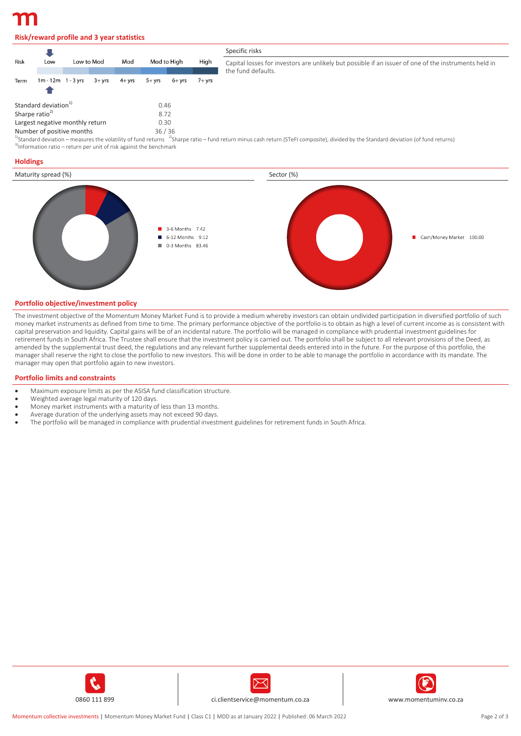## **Risk/reward profile and 3 year statistics**

|                                                                               |                        |            |         |                    |                                                                                                                                                                                                 |        |          | Specific risks                                                                                                              |
|-------------------------------------------------------------------------------|------------------------|------------|---------|--------------------|-------------------------------------------------------------------------------------------------------------------------------------------------------------------------------------------------|--------|----------|-----------------------------------------------------------------------------------------------------------------------------|
| Risk                                                                          | Low                    | Low to Mod |         | Mod<br>Mod to High |                                                                                                                                                                                                 |        | High     | Capital losses for investors are unlikely but possible if an issuer of one of the instruments held in<br>the fund defaults. |
| Term                                                                          | $1m - 12m - 1 - 3$ vrs |            | $3+vrs$ | 4+ vrs             | $5+vrs$                                                                                                                                                                                         | 6+ vrs | $7+$ vrs |                                                                                                                             |
| Standard deviation <sup>1)</sup>                                              |                        |            | 0.46    |                    |                                                                                                                                                                                                 |        |          |                                                                                                                             |
| Sharpe ratio <sup>2)</sup><br>8.72<br>Largest negative monthly return<br>0.30 |                        |            |         |                    |                                                                                                                                                                                                 |        |          |                                                                                                                             |
| 36/36<br>Number of positive months                                            |                        |            |         |                    | $^{10}$ Standard deviation – measures the volatility of fund returns $^{-2}$ Sharpe ratio – fund return minus cash return (STeEL composite) divided by the Standard deviation (of fund returns) |        |          |                                                                                                                             |

sh return (STeFI composite), divided by the Standard deviation (of fund returns)  $3$ Information ratio – return per unit of risk against the benchmark

#### **Holdings**



#### **Portfolio objective/investment policy**

The investment objective of the Momentum Money Market Fund is to provide a medium whereby investors can obtain undivided participation in diversified portfolio of such money market instruments as defined from time to time. The primary performance objective of the portfolio is to obtain as high a level of current income as is consistent with capital preservation and liquidity. Capital gains will be of an incidental nature. The portfolio will be managed in compliance with prudential investment guidelines for retirement funds in South Africa. The Trustee shall ensure that the investment policy is carried out. The portfolio shall be subject to all relevant provisions of the Deed, as amended by the supplemental trust deed, the regulations and any relevant further supplemental deeds entered into in the future. For the purpose of this portfolio, the manager shall reserve the right to close the portfolio to new investors. This will be done in order to be able to manage the portfolio in accordance with its mandate. The manager may open that portfolio again to new investors.

#### **Portfolio limits and constraints**

- Maximum exposure limits as per the ASISA fund classification structure.
- Weighted average legal maturity of 120 days.
- Money market instruments with a maturity of less than 13 months.
- Average duration of the underlying assets may not exceed 90 days.
- The portfolio will be managed in compliance with prudential investment guidelines for retirement funds in South Africa.